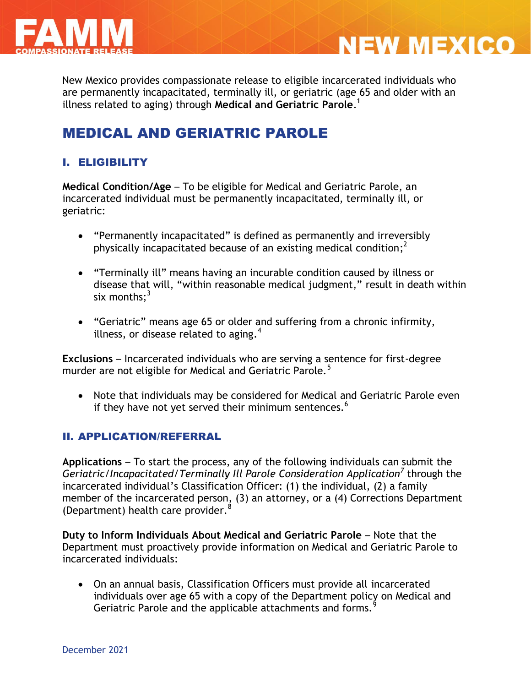

New Mexico provides compassionate release to eligible incarcerated individuals who are permanently incapacitated, terminally ill, or geriatric (age 65 and older with an illness related to aging) through **Medical and Geriatric Parole**. 1

**NEW MEXICO** 

# MEDICAL AND GERIATRIC PAROLE

## I. ELIGIBILITY

**Medical Condition/Age** – To be eligible for Medical and Geriatric Parole, an incarcerated individual must be permanently incapacitated, terminally ill, or geriatric:

- "Permanently incapacitated" is defined as permanently and irreversibly physically incapacitated because of an existing medical condition;<sup>2</sup>
- "Terminally ill" means having an incurable condition caused by illness or disease that will, "within reasonable medical judgment," result in death within six months: $3$
- "Geriatric" means age 65 or older and suffering from a chronic infirmity, illness, or disease related to aging. $4$

**Exclusions** – Incarcerated individuals who are serving a sentence for first-degree murder are not eligible for Medical and Geriatric Parole.<sup>5</sup>

 Note that individuals may be considered for Medical and Geriatric Parole even if they have not yet served their minimum sentences.<sup>6</sup>

## II. APPLICATION/REFERRAL

**Applications** – To start the process, any of the following individuals can submit the *Geriatric/Incapacitated/Terminally Ill Parole Consideration Application<sup>7</sup>* through the incarcerated individual's Classification Officer: (1) the individual, (2) a family member of the incarcerated person, (3) an attorney, or a (4) Corrections Department (Department) health care provider.<sup>8</sup>

**Duty to Inform Individuals About Medical and Geriatric Parole** – Note that the Department must proactively provide information on Medical and Geriatric Parole to incarcerated individuals:

 On an annual basis, Classification Officers must provide all incarcerated individuals over age 65 with a copy of the Department policy on Medical and Geriatric Parole and the applicable attachments and forms.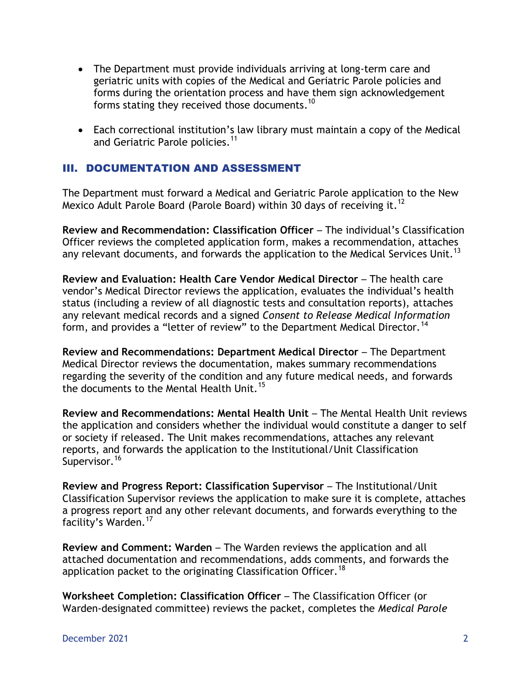- The Department must provide individuals arriving at long-term care and geriatric units with copies of the Medical and Geriatric Parole policies and forms during the orientation process and have them sign acknowledgement forms stating they received those documents.<sup>10</sup>
- Each correctional institution's law library must maintain a copy of the Medical and Geriatric Parole policies.<sup>11</sup>

## III. DOCUMENTATION AND ASSESSMENT

The Department must forward a Medical and Geriatric Parole application to the New Mexico Adult Parole Board (Parole Board) within 30 days of receiving it.<sup>12</sup>

**Review and Recommendation: Classification Officer** – The individual's Classification Officer reviews the completed application form, makes a recommendation, attaches any relevant documents, and forwards the application to the Medical Services Unit.<sup>13</sup>

**Review and Evaluation: Health Care Vendor Medical Director** – The health care vendor's Medical Director reviews the application, evaluates the individual's health status (including a review of all diagnostic tests and consultation reports), attaches any relevant medical records and a signed *Consent to Release Medical Information* form, and provides a "letter of review" to the Department Medical Director.<sup>14</sup>

**Review and Recommendations: Department Medical Director** – The Department Medical Director reviews the documentation, makes summary recommendations regarding the severity of the condition and any future medical needs, and forwards the documents to the Mental Health Unit.<sup>15</sup>

**Review and Recommendations: Mental Health Unit** – The Mental Health Unit reviews the application and considers whether the individual would constitute a danger to self or society if released. The Unit makes recommendations, attaches any relevant reports, and forwards the application to the Institutional/Unit Classification Supervisor.<sup>16</sup>

**Review and Progress Report: Classification Supervisor** – The Institutional/Unit Classification Supervisor reviews the application to make sure it is complete, attaches a progress report and any other relevant documents, and forwards everything to the facility's Warden.<sup>17</sup>

**Review and Comment: Warden** – The Warden reviews the application and all attached documentation and recommendations, adds comments, and forwards the application packet to the originating Classification Officer.<sup>18</sup>

**Worksheet Completion: Classification Officer** – The Classification Officer (or Warden-designated committee) reviews the packet, completes the *Medical Parole*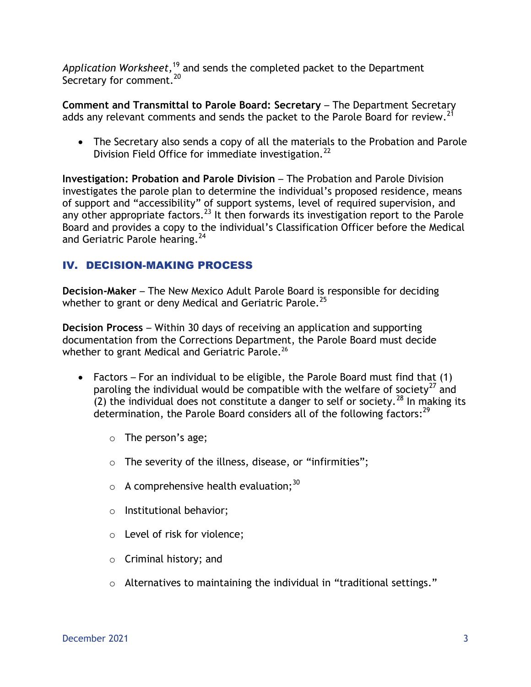*Application Worksheet,*<sup>19</sup> and sends the completed packet to the Department Secretary for comment.<sup>20</sup>

**Comment and Transmittal to Parole Board: Secretary** – The Department Secretary adds any relevant comments and sends the packet to the Parole Board for review.<sup>21</sup>

 The Secretary also sends a copy of all the materials to the Probation and Parole Division Field Office for immediate investigation.<sup>22</sup>

**Investigation: Probation and Parole Division** – The Probation and Parole Division investigates the parole plan to determine the individual's proposed residence, means of support and "accessibility" of support systems, level of required supervision, and any other appropriate factors.<sup>23</sup> It then forwards its investigation report to the Parole Board and provides a copy to the individual's Classification Officer before the Medical and Geriatric Parole hearing.<sup>24</sup>

## IV. DECISION-MAKING PROCESS

**Decision-Maker** – The New Mexico Adult Parole Board is responsible for deciding whether to grant or deny Medical and Geriatric Parole.<sup>25</sup>

**Decision Process** – Within 30 days of receiving an application and supporting documentation from the Corrections Department, the Parole Board must decide whether to grant Medical and Geriatric Parole.<sup>26</sup>

- Factors For an individual to be eligible, the Parole Board must find that (1) paroling the individual would be compatible with the welfare of society<sup>27</sup> and  $(2)$  the individual does not constitute a danger to self or society.<sup>28</sup> In making its determination, the Parole Board considers all of the following factors:<sup>29</sup>
	- o The person's age;
	- $\circ$  The severity of the illness, disease, or "infirmities";
	- $\circ$  A comprehensive health evaluation;<sup>30</sup>
	- o Institutional behavior;
	- o Level of risk for violence;
	- o Criminal history; and
	- o Alternatives to maintaining the individual in "traditional settings."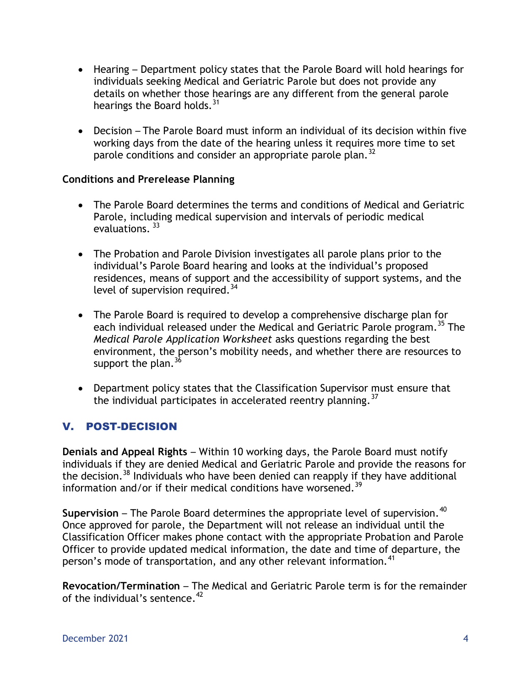- Hearing Department policy states that the Parole Board will hold hearings for individuals seeking Medical and Geriatric Parole but does not provide any details on whether those hearings are any different from the general parole hearings the Board holds.<sup>31</sup>
- Decision The Parole Board must inform an individual of its decision within five working days from the date of the hearing unless it requires more time to set parole conditions and consider an appropriate parole plan.<sup>32</sup>

#### **Conditions and Prerelease Planning**

- The Parole Board determines the terms and conditions of Medical and Geriatric Parole, including medical supervision and intervals of periodic medical evaluations.<sup>33</sup>
- The Probation and Parole Division investigates all parole plans prior to the individual's Parole Board hearing and looks at the individual's proposed residences, means of support and the accessibility of support systems, and the level of supervision required. $34$
- The Parole Board is required to develop a comprehensive discharge plan for each individual released under the Medical and Geriatric Parole program.<sup>35</sup> The *Medical Parole Application Worksheet* asks questions regarding the best environment, the person's mobility needs, and whether there are resources to support the plan.  $36$
- Department policy states that the Classification Supervisor must ensure that the individual participates in accelerated reentry planning.<sup>37</sup>

## V. POST-DECISION

**Denials and Appeal Rights** – Within 10 working days, the Parole Board must notify individuals if they are denied Medical and Geriatric Parole and provide the reasons for the decision.<sup>38</sup> Individuals who have been denied can reapply if they have additional information and/or if their medical conditions have worsened.<sup>39</sup>

**Supervision – The Parole Board determines the appropriate level of supervision.<sup>40</sup>** Once approved for parole, the Department will not release an individual until the Classification Officer makes phone contact with the appropriate Probation and Parole Officer to provide updated medical information, the date and time of departure, the person's mode of transportation, and any other relevant information.<sup>41</sup>

**Revocation/Termination** – The Medical and Geriatric Parole term is for the remainder of the individual's sentence. $42$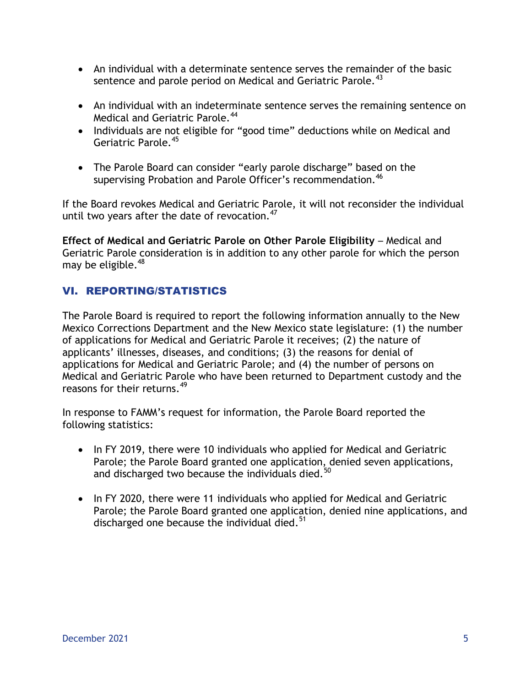- An individual with a determinate sentence serves the remainder of the basic sentence and parole period on Medical and Geriatric Parole.<sup>43</sup>
- An individual with an indeterminate sentence serves the remaining sentence on Medical and Geriatric Parole.<sup>44</sup>
- Individuals are not eligible for "good time" deductions while on Medical and Geriatric Parole.<sup>45</sup>
- The Parole Board can consider "early parole discharge" based on the supervising Probation and Parole Officer's recommendation.<sup>46</sup>

If the Board revokes Medical and Geriatric Parole, it will not reconsider the individual until two years after the date of revocation. $47$ 

**Effect of Medical and Geriatric Parole on Other Parole Eligibility** – Medical and Geriatric Parole consideration is in addition to any other parole for which the person may be eligible.  $48$ 

## VI. REPORTING/STATISTICS

The Parole Board is required to report the following information annually to the New Mexico Corrections Department and the New Mexico state legislature: (1) the number of applications for Medical and Geriatric Parole it receives; (2) the nature of applicants' illnesses, diseases, and conditions; (3) the reasons for denial of applications for Medical and Geriatric Parole; and (4) the number of persons on Medical and Geriatric Parole who have been returned to Department custody and the reasons for their returns. 49

In response to FAMM's request for information, the Parole Board reported the following statistics:

- In FY 2019, there were 10 individuals who applied for Medical and Geriatric Parole; the Parole Board granted one application, denied seven applications, and discharged two because the individuals died.<sup>50</sup>
- In FY 2020, there were 11 individuals who applied for Medical and Geriatric Parole; the Parole Board granted one application, denied nine applications, and discharged one because the individual died. $51$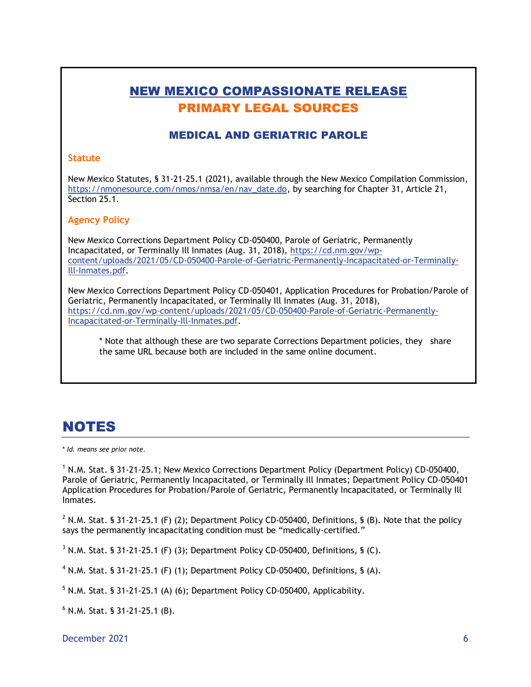# NEW MEXICO COMPASSIONATE RELEASE PRIMARY LEGAL SOURCES

## MEDICAL AND GERIATRIC PAROLE

#### **Statute**

New Mexico Statutes, § 31-21-25.1 (2021), available through the New Mexico Compilation Commission, [https://nmonesource.com/nmos/nmsa/en/nav\\_date.do,](https://nmonesource.com/nmos/nmsa/en/nav_date.do) by searching for Chapter 31, Article 21, Section 25.1.

#### **Agency Policy**

New Mexico Corrections Department Policy CD-050400, Parole of Geriatric, Permanently Incapacitated, or Terminally Ill Inmates (Aug. 31, 2018), [https://cd.nm.gov/wp](https://cd.nm.gov/wp-content/uploads/2021/05/CD-050400-Parole-of-Geriatric-Permanently-Incapacitated-or-Terminally-Ill-Inmates.pdf)[content/uploads/2021/05/CD-050400-Parole-of-Geriatric-Permanently-Incapacitated-or-Terminally-](https://cd.nm.gov/wp-content/uploads/2021/05/CD-050400-Parole-of-Geriatric-Permanently-Incapacitated-or-Terminally-Ill-Inmates.pdf)[Ill-Inmates.pdf.](https://cd.nm.gov/wp-content/uploads/2021/05/CD-050400-Parole-of-Geriatric-Permanently-Incapacitated-or-Terminally-Ill-Inmates.pdf)

New Mexico Corrections Department Policy CD-050401, Application Procedures for Probation/Parole of Geriatric, Permanently Incapacitated, or Terminally Ill Inmates (Aug. 31, 2018), [https://cd.nm.gov/wp-content/uploads/2021/05/CD-050400-Parole-of-Geriatric-Permanently-](https://cd.nm.gov/wp-content/uploads/2021/05/CD-050400-Parole-of-Geriatric-Permanently-Incapacitated-or-Terminally-Ill-Inmates.pdf)[Incapacitated-or-Terminally-Ill-Inmates.pdf.](https://cd.nm.gov/wp-content/uploads/2021/05/CD-050400-Parole-of-Geriatric-Permanently-Incapacitated-or-Terminally-Ill-Inmates.pdf)

\* Note that although these are two separate Corrections Department policies, they share the same URL because both are included in the same online document.

# NOTES

\* *Id. means see prior note.*

<sup>1</sup> N.M. Stat. § 31-21-25.1; New Mexico Corrections Department Policy (Department Policy) CD-050400, Parole of Geriatric, Permanently Incapacitated, or Terminally Ill Inmates; Department Policy CD-050401 Application Procedures for Probation/Parole of Geriatric, Permanently Incapacitated, or Terminally Ill Inmates.

 $2$  N.M. Stat. § 31-21-25.1 (F) (2); Department Policy CD-050400, Definitions, § (B). Note that the policy says the permanently incapacitating condition must be "medically-certified."

 $3$  N.M. Stat. § 31-21-25.1 (F) (3); Department Policy CD-050400, Definitions, § (C).

 $4$  N.M. Stat. § 31-21-25.1 (F) (1); Department Policy CD-050400, Definitions, § (A).

 $5$  N.M. Stat. § 31-21-25.1 (A) (6); Department Policy CD-050400, Applicability.

<sup>6</sup> N.M. Stat. § 31-21-25.1 (B).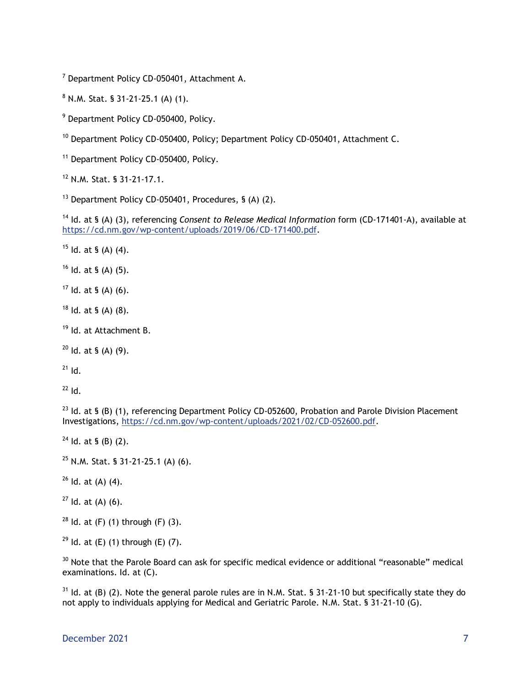<sup>7</sup> Department Policy CD-050401, Attachment A.

<sup>8</sup> N.M. Stat. § 31-21-25.1 (A) (1).

<sup>9</sup> Department Policy CD-050400, Policy.

<sup>10</sup> Department Policy CD-050400, Policy; Department Policy CD-050401, Attachment C.

<sup>11</sup> Department Policy CD-050400, Policy.

<sup>12</sup> N.M. Stat. § 31-21-17.1.

 $13$  Department Policy CD-050401, Procedures, § (A) (2).

<sup>14</sup> Id. at § (A) (3), referencing *Consent to Release Medical Information* form (CD-171401-A), available at https://cd.nm.gov/wp-content/uploads/2019/06/CD-171400.pdf.

 $15$  Id. at § (A) (4).

 $16$  Id. at § (A) (5).

 $17$  Id. at § (A) (6).

 $18$  Id. at § (A) (8).

<sup>19</sup> Id. at Attachment B.

 $20$  Id. at § (A) (9).

 $21$  Id.

 $22$  Id.

<sup>23</sup> Id. at § (B) (1), referencing Department Policy CD-052600, Probation and Parole Division Placement Investigations, [https://cd.nm.gov/wp-content/uploads/2021/02/CD-052600.pdf.](https://cd.nm.gov/wp-content/uploads/2021/02/CD-052600.pdf)

 $24$  Id. at § (B) (2).

 $25$  N.M. Stat. § 31-21-25.1 (A) (6).

 $26$  Id. at (A) (4).

 $27$  Id. at (A) (6).

 $28$  Id. at (F) (1) through (F) (3).

<sup>29</sup> Id. at  $(E)$  (1) through  $(E)$  (7).

<sup>30</sup> Note that the Parole Board can ask for specific medical evidence or additional "reasonable" medical examinations. Id. at (C).

 $31$  Id. at (B) (2). Note the general parole rules are in N.M. Stat. § 31-21-10 but specifically state they do not apply to individuals applying for Medical and Geriatric Parole. N.M. Stat. § 31-21-10 (G).